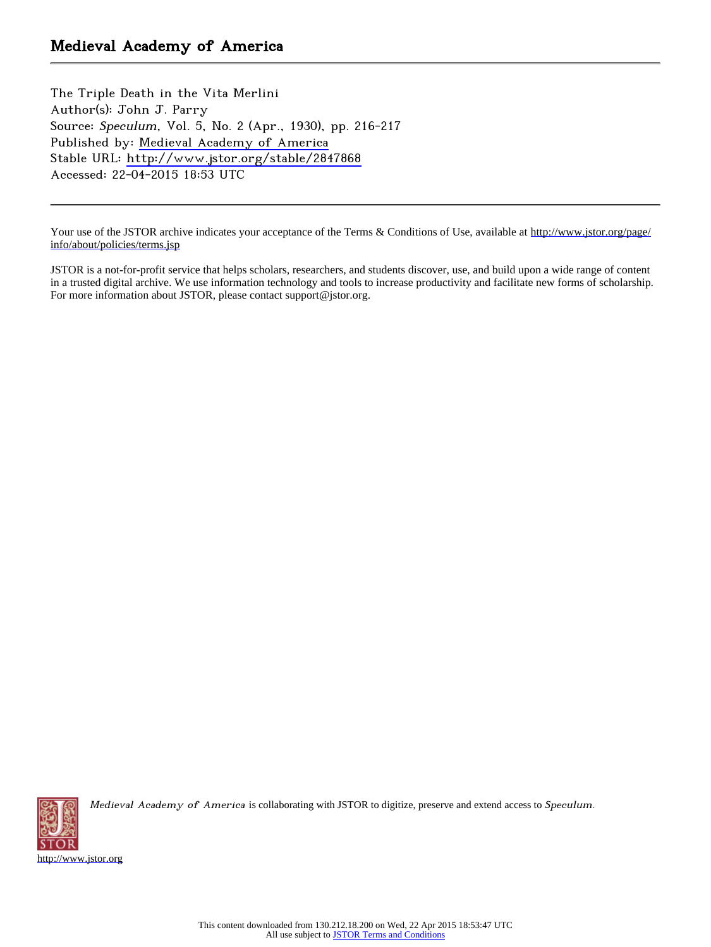The Triple Death in the Vita Merlini Author(s): John J. Parry Source: Speculum, Vol. 5, No. 2 (Apr., 1930), pp. 216-217 Published by: [Medieval Academy of America](http://www.jstor.org/action/showPublisher?publisherCode=medacad) Stable URL: <http://www.jstor.org/stable/2847868> Accessed: 22-04-2015 18:53 UTC

Your use of the JSTOR archive indicates your acceptance of the Terms & Conditions of Use, available at [http://www.jstor.org/page/](http://www.jstor.org/page/info/about/policies/terms.jsp) [info/about/policies/terms.jsp](http://www.jstor.org/page/info/about/policies/terms.jsp)

JSTOR is a not-for-profit service that helps scholars, researchers, and students discover, use, and build upon a wide range of content in a trusted digital archive. We use information technology and tools to increase productivity and facilitate new forms of scholarship. For more information about JSTOR, please contact support@jstor.org.



Medieval Academy of America is collaborating with JSTOR to digitize, preserve and extend access to Speculum.

<http://www.jstor.org>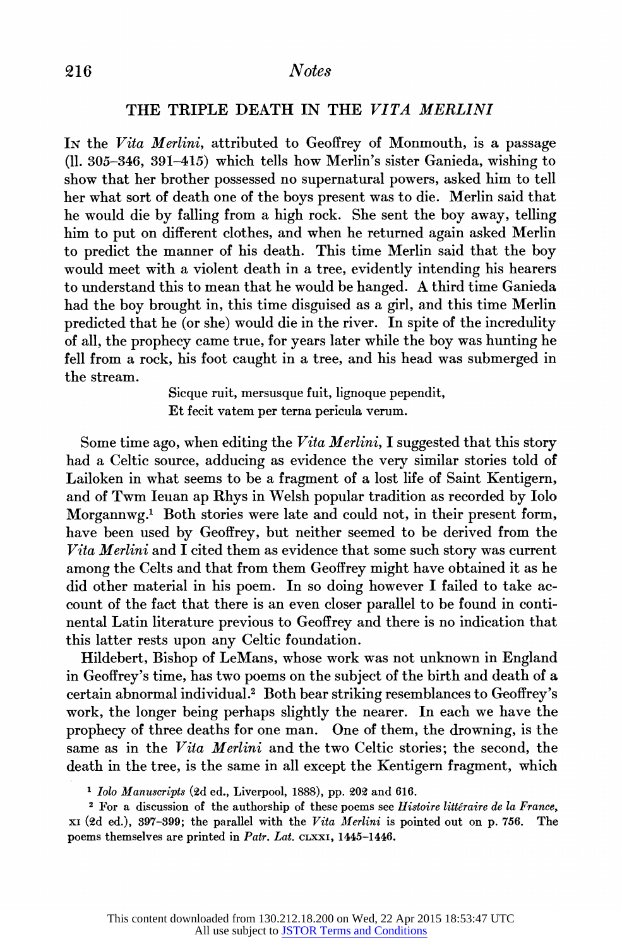## 216 Notes

## THE TRIPLE DEATH IN THE VITA MERLINI

In the Vita Merlini, attributed to Geoffrey of Monmouth, is a passage (11. 305-346, 391-415) which tells how Merlin's sister Ganieda, wishing to show that her brother possessed no supernatural powers, asked him to tell her what sort of death one of the boys present was to die. Merlin said that he would die by falling from a high rock. She sent the boy away, telling him to put on different clothes, and when he returned again asked Merlin to predict the manner of his death. This time Merlin said that the boy would meet with a violent death in a tree, evidently intending his hearers to understand this to mean that he would be hanged. A third time Ganieda had the boy brought in, this time disguised as a girl, and this time Merlin predicted that he (or she) would die in the river. In spite of the incredulity of all, the prophecy came true, for years later while the boy was hunting he fell from a rock, his foot caught in a tree, and his head was submerged in the stream.

> Sicque ruit, mersusque fuit, lignoque pependit, Et fecit vatem per terna pericula verum.

Some time ago, when editing the Vita Merlini, I suggested that this story had a Celtic source, adducing as evidence the very similar stories told of Lailoken in what seems to be a fragment of a lost life of Saint Kentigern, and of Twm Ieuan ap Rhys in Welsh popular tradition as recorded by Iolo Morgannwg.1 Both stories were late and could not, in their present form, have been used by Geoffrey, but neither seemed to be derived from the Vita Merlini and  $\tilde{I}$  cited them as evidence that some such story was current among the Celts and that from them Geoffrey might have obtained it as he did other material in his poem. In so doing however I failed to take account of the fact that there is an even closer parallel to be found in continental Latin literature previous to Geoffrey and there is no indication that this latter rests upon any Celtic foundation.

Hildebert, Bishop of LeMans, whose work was not unknown in England in Geoffrey's time, has two poems on the subject of the birth and death of a certain abnormal individual.2 Both bear striking resemblances to Geoffrey's work, the longer being perhaps slightly the nearer. In each we have the prophecy of three deaths for one man. One of them, the drowning, is the same as in the Vita Merlini and the two Celtic stories; the second, the death in the tree, is the same in all except the Kentigern fragment, which

<sup>1</sup> Iolo Manuscripts (2d ed., Liverpool, 1888), pp. 202 and 616.

 $2$  For a discussion of the authorship of these poems see Histoire littéraire de la France,  $xI$  (2d ed.), 397-399; the parallel with the Vita Merlini is pointed out on p. 756. poems themselves are printed in Patr. Lat. cLXXI, 1445-1446.